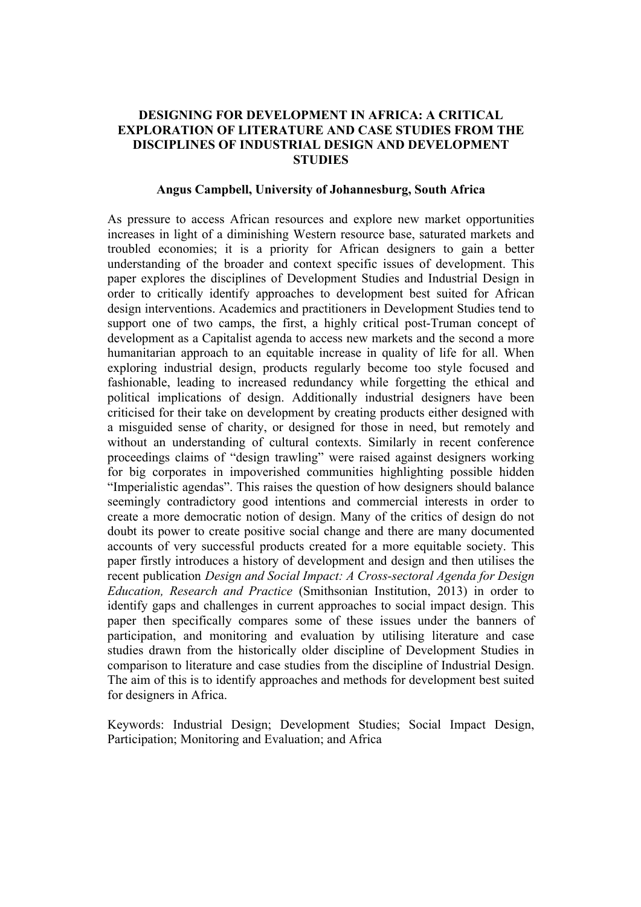## **DESIGNING FOR DEVELOPMENT IN AFRICA: A CRITICAL EXPLORATION OF LITERATURE AND CASE STUDIES FROM THE DISCIPLINES OF INDUSTRIAL DESIGN AND DEVELOPMENT STUDIES**

### **Angus Campbell, University of Johannesburg, South Africa**

As pressure to access African resources and explore new market opportunities increases in light of a diminishing Western resource base, saturated markets and troubled economies; it is a priority for African designers to gain a better understanding of the broader and context specific issues of development. This paper explores the disciplines of Development Studies and Industrial Design in order to critically identify approaches to development best suited for African design interventions. Academics and practitioners in Development Studies tend to support one of two camps, the first, a highly critical post-Truman concept of development as a Capitalist agenda to access new markets and the second a more humanitarian approach to an equitable increase in quality of life for all. When exploring industrial design, products regularly become too style focused and fashionable, leading to increased redundancy while forgetting the ethical and political implications of design. Additionally industrial designers have been criticised for their take on development by creating products either designed with a misguided sense of charity, or designed for those in need, but remotely and without an understanding of cultural contexts. Similarly in recent conference proceedings claims of "design trawling" were raised against designers working for big corporates in impoverished communities highlighting possible hidden "Imperialistic agendas". This raises the question of how designers should balance seemingly contradictory good intentions and commercial interests in order to create a more democratic notion of design. Many of the critics of design do not doubt its power to create positive social change and there are many documented accounts of very successful products created for a more equitable society. This paper firstly introduces a history of development and design and then utilises the recent publication *Design and Social Impact: A Cross-sectoral Agenda for Design Education, Research and Practice* (Smithsonian Institution, 2013) in order to identify gaps and challenges in current approaches to social impact design. This paper then specifically compares some of these issues under the banners of participation, and monitoring and evaluation by utilising literature and case studies drawn from the historically older discipline of Development Studies in comparison to literature and case studies from the discipline of Industrial Design. The aim of this is to identify approaches and methods for development best suited for designers in Africa.

Keywords: Industrial Design; Development Studies; Social Impact Design, Participation; Monitoring and Evaluation; and Africa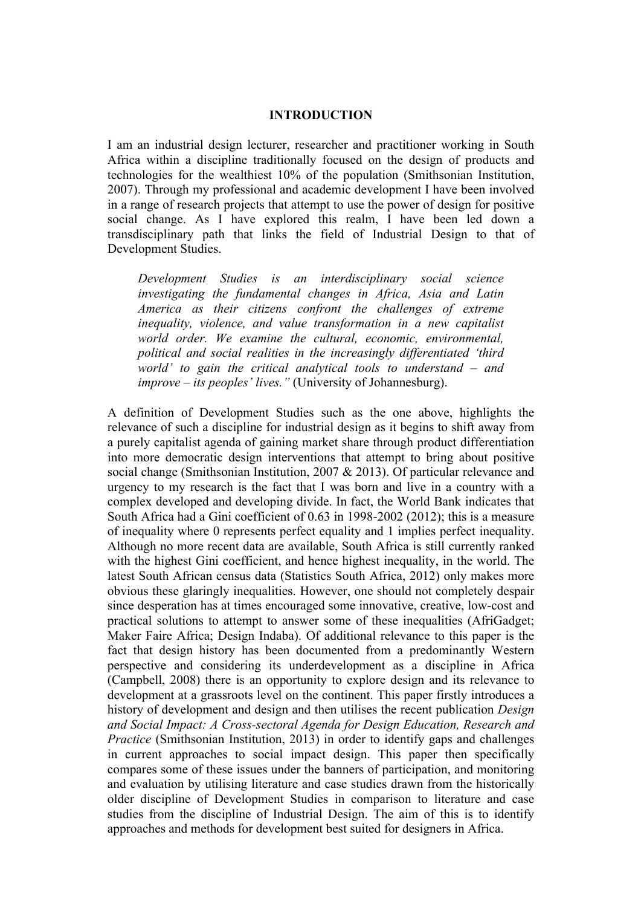### **INTRODUCTION**

I am an industrial design lecturer, researcher and practitioner working in South Africa within a discipline traditionally focused on the design of products and technologies for the wealthiest 10% of the population (Smithsonian Institution, 2007). Through my professional and academic development I have been involved in a range of research projects that attempt to use the power of design for positive social change. As I have explored this realm, I have been led down a transdisciplinary path that links the field of Industrial Design to that of Development Studies.

*Development Studies is an interdisciplinary social science investigating the fundamental changes in Africa, Asia and Latin America as their citizens confront the challenges of extreme inequality, violence, and value transformation in a new capitalist world order. We examine the cultural, economic, environmental, political and social realities in the increasingly differentiated 'third world' to gain the critical analytical tools to understand – and improve – its peoples' lives."* (University of Johannesburg).

A definition of Development Studies such as the one above, highlights the relevance of such a discipline for industrial design as it begins to shift away from a purely capitalist agenda of gaining market share through product differentiation into more democratic design interventions that attempt to bring about positive social change (Smithsonian Institution, 2007 & 2013). Of particular relevance and urgency to my research is the fact that I was born and live in a country with a complex developed and developing divide. In fact, the World Bank indicates that South Africa had a Gini coefficient of 0.63 in 1998-2002 (2012); this is a measure of inequality where 0 represents perfect equality and 1 implies perfect inequality. Although no more recent data are available, South Africa is still currently ranked with the highest Gini coefficient, and hence highest inequality, in the world. The latest South African census data (Statistics South Africa, 2012) only makes more obvious these glaringly inequalities. However, one should not completely despair since desperation has at times encouraged some innovative, creative, low-cost and practical solutions to attempt to answer some of these inequalities (AfriGadget; Maker Faire Africa; Design Indaba). Of additional relevance to this paper is the fact that design history has been documented from a predominantly Western perspective and considering its underdevelopment as a discipline in Africa (Campbell, 2008) there is an opportunity to explore design and its relevance to development at a grassroots level on the continent. This paper firstly introduces a history of development and design and then utilises the recent publication *Design and Social Impact: A Cross-sectoral Agenda for Design Education, Research and Practice* (Smithsonian Institution, 2013) in order to identify gaps and challenges in current approaches to social impact design. This paper then specifically compares some of these issues under the banners of participation, and monitoring and evaluation by utilising literature and case studies drawn from the historically older discipline of Development Studies in comparison to literature and case studies from the discipline of Industrial Design. The aim of this is to identify approaches and methods for development best suited for designers in Africa.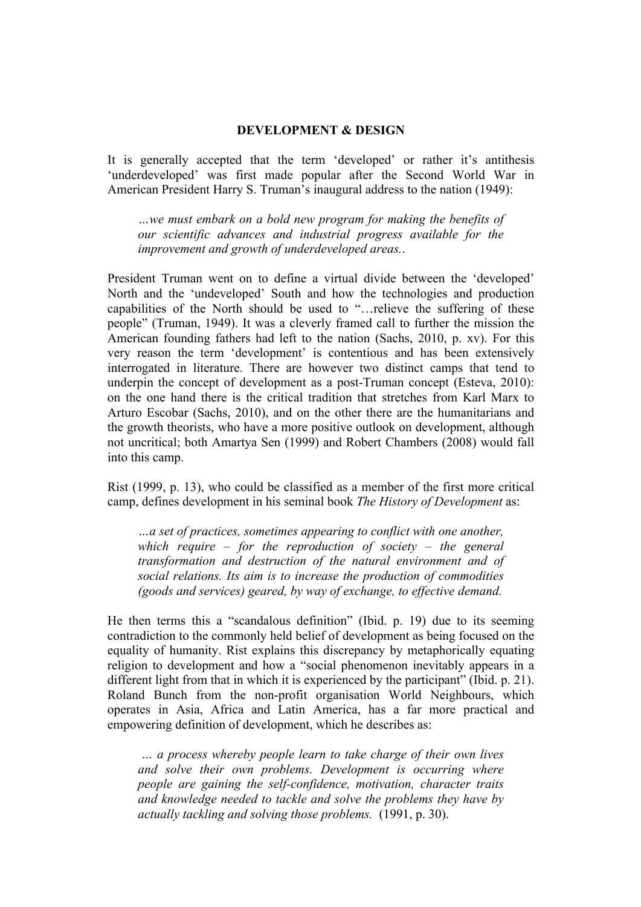### **DEVELOPMENT & DESIGN**

It is generally accepted that the term 'developed' or rather it's antithesis 'underdeveloped' was first made popular after the Second World War in American President Harry S. Truman's inaugural address to the nation (1949):

*…we must embark on a bold new program for making the benefits of our scientific advances and industrial progress available for the improvement and growth of underdeveloped areas.*.

President Truman went on to define a virtual divide between the 'developed' North and the 'undeveloped' South and how the technologies and production capabilities of the North should be used to "…relieve the suffering of these people" (Truman, 1949). It was a cleverly framed call to further the mission the American founding fathers had left to the nation (Sachs, 2010, p. xv). For this very reason the term 'development' is contentious and has been extensively interrogated in literature. There are however two distinct camps that tend to underpin the concept of development as a post-Truman concept (Esteva, 2010): on the one hand there is the critical tradition that stretches from Karl Marx to Arturo Escobar (Sachs, 2010), and on the other there are the humanitarians and the growth theorists, who have a more positive outlook on development, although not uncritical; both Amartya Sen (1999) and Robert Chambers (2008) would fall into this camp.

Rist (1999, p. 13), who could be classified as a member of the first more critical camp, defines development in his seminal book *The History of Development* as:

*…a set of practices, sometimes appearing to conflict with one another, which require – for the reproduction of society – the general transformation and destruction of the natural environment and of social relations. Its aim is to increase the production of commodities (goods and services) geared, by way of exchange, to effective demand.*

He then terms this a "scandalous definition" (Ibid. p. 19) due to its seeming contradiction to the commonly held belief of development as being focused on the equality of humanity. Rist explains this discrepancy by metaphorically equating religion to development and how a "social phenomenon inevitably appears in a different light from that in which it is experienced by the participant" (Ibid. p. 21). Roland Bunch from the non-profit organisation World Neighbours, which operates in Asia, Africa and Latin America, has a far more practical and empowering definition of development, which he describes as:

*… a process whereby people learn to take charge of their own lives and solve their own problems. Development is occurring where people are gaining the self-confidence, motivation, character traits and knowledge needed to tackle and solve the problems they have by actually tackling and solving those problems.* (1991, p. 30).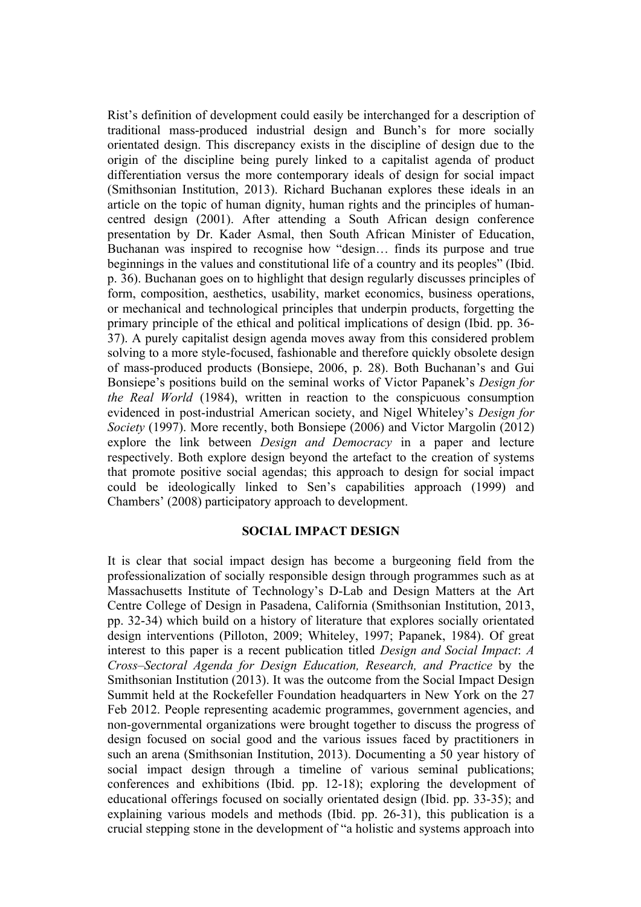Rist's definition of development could easily be interchanged for a description of traditional mass-produced industrial design and Bunch's for more socially orientated design. This discrepancy exists in the discipline of design due to the origin of the discipline being purely linked to a capitalist agenda of product differentiation versus the more contemporary ideals of design for social impact (Smithsonian Institution, 2013). Richard Buchanan explores these ideals in an article on the topic of human dignity, human rights and the principles of humancentred design (2001). After attending a South African design conference presentation by Dr. Kader Asmal, then South African Minister of Education, Buchanan was inspired to recognise how "design… finds its purpose and true beginnings in the values and constitutional life of a country and its peoples" (Ibid. p. 36). Buchanan goes on to highlight that design regularly discusses principles of form, composition, aesthetics, usability, market economics, business operations, or mechanical and technological principles that underpin products, forgetting the primary principle of the ethical and political implications of design (Ibid. pp. 36- 37). A purely capitalist design agenda moves away from this considered problem solving to a more style-focused, fashionable and therefore quickly obsolete design of mass-produced products (Bonsiepe, 2006, p. 28). Both Buchanan's and Gui Bonsiepe's positions build on the seminal works of Victor Papanek's *Design for the Real World* (1984), written in reaction to the conspicuous consumption evidenced in post-industrial American society, and Nigel Whiteley's *Design for Society* (1997). More recently, both Bonsiepe (2006) and Victor Margolin (2012) explore the link between *Design and Democracy* in a paper and lecture respectively. Both explore design beyond the artefact to the creation of systems that promote positive social agendas; this approach to design for social impact could be ideologically linked to Sen's capabilities approach (1999) and Chambers' (2008) participatory approach to development.

### **SOCIAL IMPACT DESIGN**

It is clear that social impact design has become a burgeoning field from the professionalization of socially responsible design through programmes such as at Massachusetts Institute of Technology's D-Lab and Design Matters at the Art Centre College of Design in Pasadena, California (Smithsonian Institution, 2013, pp. 32-34) which build on a history of literature that explores socially orientated design interventions (Pilloton, 2009; Whiteley, 1997; Papanek, 1984). Of great interest to this paper is a recent publication titled *Design and Social Impact*: *A Cross–Sectoral Agenda for Design Education, Research, and Practice* by the Smithsonian Institution (2013). It was the outcome from the Social Impact Design Summit held at the Rockefeller Foundation headquarters in New York on the 27 Feb 2012. People representing academic programmes, government agencies, and non-governmental organizations were brought together to discuss the progress of design focused on social good and the various issues faced by practitioners in such an arena (Smithsonian Institution, 2013). Documenting a 50 year history of social impact design through a timeline of various seminal publications; conferences and exhibitions (Ibid. pp. 12-18); exploring the development of educational offerings focused on socially orientated design (Ibid. pp. 33-35); and explaining various models and methods (Ibid. pp. 26-31), this publication is a crucial stepping stone in the development of "a holistic and systems approach into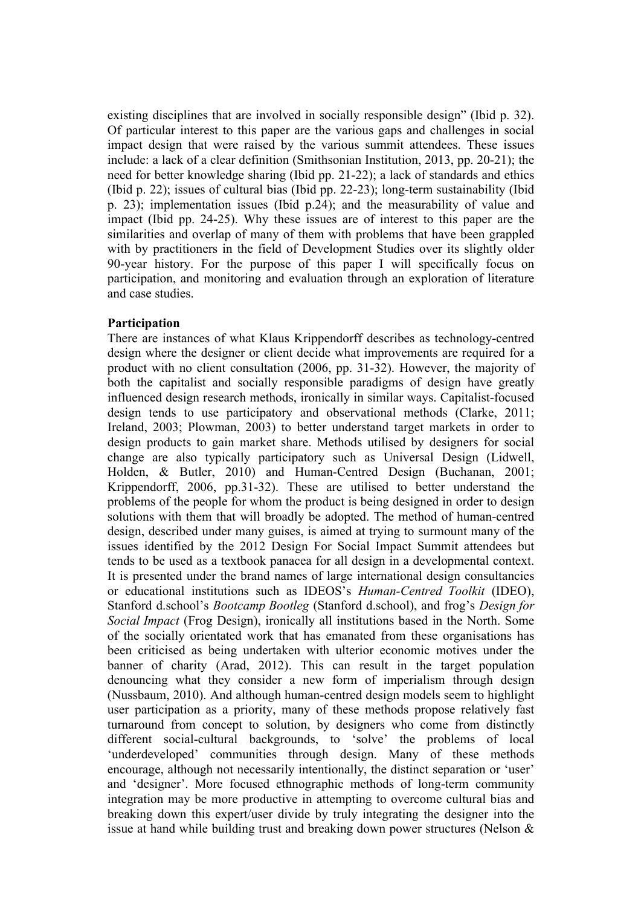existing disciplines that are involved in socially responsible design" (Ibid p. 32). Of particular interest to this paper are the various gaps and challenges in social impact design that were raised by the various summit attendees. These issues include: a lack of a clear definition (Smithsonian Institution, 2013, pp. 20-21); the need for better knowledge sharing (Ibid pp. 21-22); a lack of standards and ethics (Ibid p. 22); issues of cultural bias (Ibid pp. 22-23); long-term sustainability (Ibid p. 23); implementation issues (Ibid p.24); and the measurability of value and impact (Ibid pp. 24-25). Why these issues are of interest to this paper are the similarities and overlap of many of them with problems that have been grappled with by practitioners in the field of Development Studies over its slightly older 90-year history. For the purpose of this paper I will specifically focus on participation, and monitoring and evaluation through an exploration of literature and case studies.

# **Participation**

There are instances of what Klaus Krippendorff describes as technology-centred design where the designer or client decide what improvements are required for a product with no client consultation (2006, pp. 31-32). However, the majority of both the capitalist and socially responsible paradigms of design have greatly influenced design research methods, ironically in similar ways. Capitalist-focused design tends to use participatory and observational methods (Clarke, 2011; Ireland, 2003; Plowman, 2003) to better understand target markets in order to design products to gain market share. Methods utilised by designers for social change are also typically participatory such as Universal Design (Lidwell, Holden, & Butler, 2010) and Human-Centred Design (Buchanan, 2001; Krippendorff, 2006, pp.31-32). These are utilised to better understand the problems of the people for whom the product is being designed in order to design solutions with them that will broadly be adopted. The method of human-centred design, described under many guises, is aimed at trying to surmount many of the issues identified by the 2012 Design For Social Impact Summit attendees but tends to be used as a textbook panacea for all design in a developmental context. It is presented under the brand names of large international design consultancies or educational institutions such as IDEOS's *Human-Centred Toolkit* (IDEO), Stanford d.school's *Bootcamp Bootleg* (Stanford d.school), and frog's *Design for Social Impact* (Frog Design), ironically all institutions based in the North. Some of the socially orientated work that has emanated from these organisations has been criticised as being undertaken with ulterior economic motives under the banner of charity (Arad, 2012). This can result in the target population denouncing what they consider a new form of imperialism through design (Nussbaum, 2010). And although human-centred design models seem to highlight user participation as a priority, many of these methods propose relatively fast turnaround from concept to solution, by designers who come from distinctly different social-cultural backgrounds, to 'solve' the problems of local 'underdeveloped' communities through design. Many of these methods encourage, although not necessarily intentionally, the distinct separation or 'user' and 'designer'. More focused ethnographic methods of long-term community integration may be more productive in attempting to overcome cultural bias and breaking down this expert/user divide by truly integrating the designer into the issue at hand while building trust and breaking down power structures (Nelson &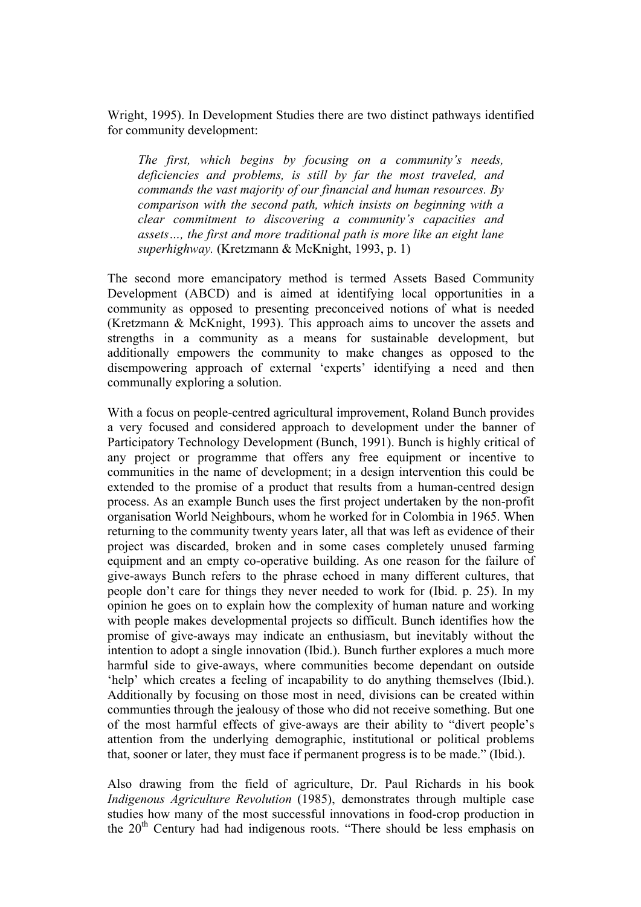Wright, 1995). In Development Studies there are two distinct pathways identified for community development:

*The first, which begins by focusing on a community's needs, deficiencies and problems, is still by far the most traveled, and commands the vast majority of our financial and human resources. By comparison with the second path, which insists on beginning with a clear commitment to discovering a community's capacities and assets…, the first and more traditional path is more like an eight lane superhighway.* (Kretzmann & McKnight, 1993, p. 1)

The second more emancipatory method is termed Assets Based Community Development (ABCD) and is aimed at identifying local opportunities in a community as opposed to presenting preconceived notions of what is needed (Kretzmann & McKnight, 1993). This approach aims to uncover the assets and strengths in a community as a means for sustainable development, but additionally empowers the community to make changes as opposed to the disempowering approach of external 'experts' identifying a need and then communally exploring a solution.

With a focus on people-centred agricultural improvement, Roland Bunch provides a very focused and considered approach to development under the banner of Participatory Technology Development (Bunch, 1991). Bunch is highly critical of any project or programme that offers any free equipment or incentive to communities in the name of development; in a design intervention this could be extended to the promise of a product that results from a human-centred design process. As an example Bunch uses the first project undertaken by the non-profit organisation World Neighbours, whom he worked for in Colombia in 1965. When returning to the community twenty years later, all that was left as evidence of their project was discarded, broken and in some cases completely unused farming equipment and an empty co-operative building. As one reason for the failure of give-aways Bunch refers to the phrase echoed in many different cultures, that people don't care for things they never needed to work for (Ibid. p. 25). In my opinion he goes on to explain how the complexity of human nature and working with people makes developmental projects so difficult. Bunch identifies how the promise of give-aways may indicate an enthusiasm, but inevitably without the intention to adopt a single innovation (Ibid.). Bunch further explores a much more harmful side to give-aways, where communities become dependant on outside 'help' which creates a feeling of incapability to do anything themselves (Ibid.). Additionally by focusing on those most in need, divisions can be created within communties through the jealousy of those who did not receive something. But one of the most harmful effects of give-aways are their ability to "divert people's attention from the underlying demographic, institutional or political problems that, sooner or later, they must face if permanent progress is to be made." (Ibid.).

Also drawing from the field of agriculture, Dr. Paul Richards in his book *Indigenous Agriculture Revolution* (1985), demonstrates through multiple case studies how many of the most successful innovations in food-crop production in the  $20<sup>th</sup>$  Century had had indigenous roots. "There should be less emphasis on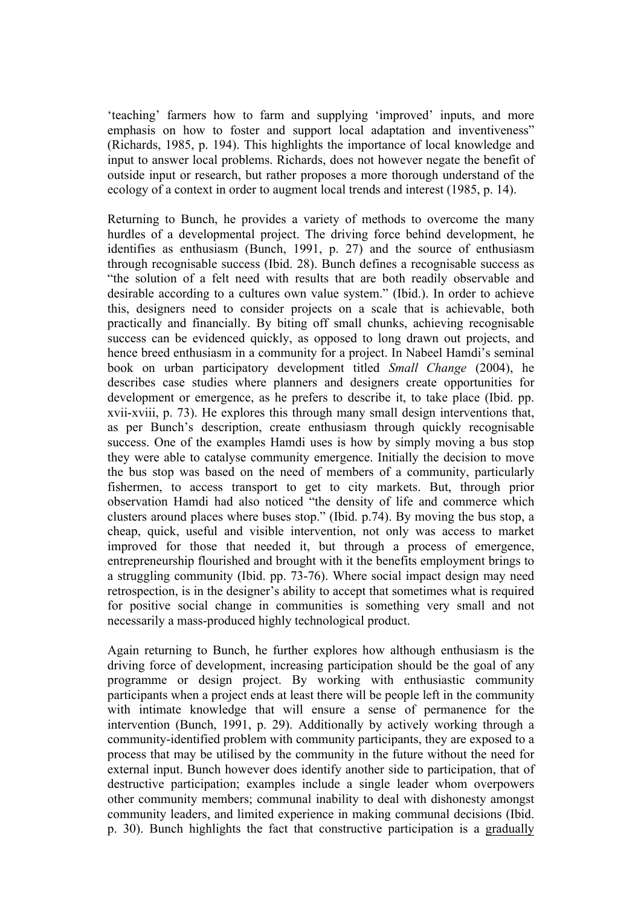'teaching' farmers how to farm and supplying 'improved' inputs, and more emphasis on how to foster and support local adaptation and inventiveness" (Richards, 1985, p. 194). This highlights the importance of local knowledge and input to answer local problems. Richards, does not however negate the benefit of outside input or research, but rather proposes a more thorough understand of the ecology of a context in order to augment local trends and interest (1985, p. 14).

Returning to Bunch, he provides a variety of methods to overcome the many hurdles of a developmental project. The driving force behind development, he identifies as enthusiasm (Bunch, 1991, p. 27) and the source of enthusiasm through recognisable success (Ibid. 28). Bunch defines a recognisable success as "the solution of a felt need with results that are both readily observable and desirable according to a cultures own value system." (Ibid.). In order to achieve this, designers need to consider projects on a scale that is achievable, both practically and financially. By biting off small chunks, achieving recognisable success can be evidenced quickly, as opposed to long drawn out projects, and hence breed enthusiasm in a community for a project. In Nabeel Hamdi's seminal book on urban participatory development titled *Small Change* (2004), he describes case studies where planners and designers create opportunities for development or emergence, as he prefers to describe it, to take place (Ibid. pp. xvii-xviii, p. 73). He explores this through many small design interventions that, as per Bunch's description, create enthusiasm through quickly recognisable success. One of the examples Hamdi uses is how by simply moving a bus stop they were able to catalyse community emergence. Initially the decision to move the bus stop was based on the need of members of a community, particularly fishermen, to access transport to get to city markets. But, through prior observation Hamdi had also noticed "the density of life and commerce which clusters around places where buses stop." (Ibid. p.74). By moving the bus stop, a cheap, quick, useful and visible intervention, not only was access to market improved for those that needed it, but through a process of emergence, entrepreneurship flourished and brought with it the benefits employment brings to a struggling community (Ibid. pp. 73-76). Where social impact design may need retrospection, is in the designer's ability to accept that sometimes what is required for positive social change in communities is something very small and not necessarily a mass-produced highly technological product.

Again returning to Bunch, he further explores how although enthusiasm is the driving force of development, increasing participation should be the goal of any programme or design project. By working with enthusiastic community participants when a project ends at least there will be people left in the community with intimate knowledge that will ensure a sense of permanence for the intervention (Bunch, 1991, p. 29). Additionally by actively working through a community-identified problem with community participants, they are exposed to a process that may be utilised by the community in the future without the need for external input. Bunch however does identify another side to participation, that of destructive participation; examples include a single leader whom overpowers other community members; communal inability to deal with dishonesty amongst community leaders, and limited experience in making communal decisions (Ibid. p. 30). Bunch highlights the fact that constructive participation is a gradually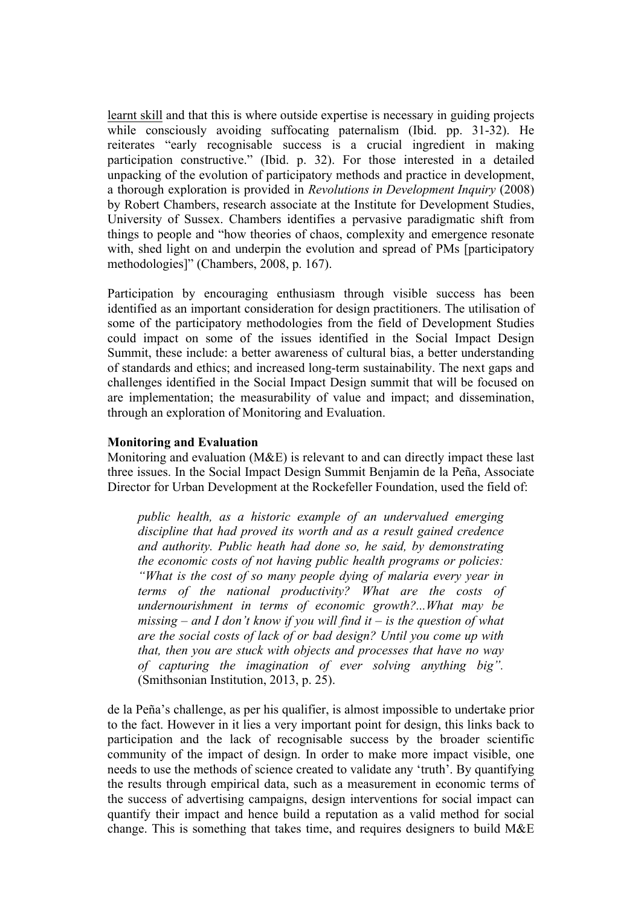learnt skill and that this is where outside expertise is necessary in guiding projects while consciously avoiding suffocating paternalism (Ibid. pp. 31-32). He reiterates "early recognisable success is a crucial ingredient in making participation constructive." (Ibid. p. 32). For those interested in a detailed unpacking of the evolution of participatory methods and practice in development, a thorough exploration is provided in *Revolutions in Development Inquiry* (2008) by Robert Chambers, research associate at the Institute for Development Studies, University of Sussex. Chambers identifies a pervasive paradigmatic shift from things to people and "how theories of chaos, complexity and emergence resonate with, shed light on and underpin the evolution and spread of PMs [participatory] methodologies]" (Chambers, 2008, p. 167).

Participation by encouraging enthusiasm through visible success has been identified as an important consideration for design practitioners. The utilisation of some of the participatory methodologies from the field of Development Studies could impact on some of the issues identified in the Social Impact Design Summit, these include: a better awareness of cultural bias, a better understanding of standards and ethics; and increased long-term sustainability. The next gaps and challenges identified in the Social Impact Design summit that will be focused on are implementation; the measurability of value and impact; and dissemination, through an exploration of Monitoring and Evaluation.

### **Monitoring and Evaluation**

Monitoring and evaluation (M&E) is relevant to and can directly impact these last three issues. In the Social Impact Design Summit Benjamin de la Peña, Associate Director for Urban Development at the Rockefeller Foundation, used the field of:

*public health, as a historic example of an undervalued emerging discipline that had proved its worth and as a result gained credence and authority. Public heath had done so, he said, by demonstrating the economic costs of not having public health programs or policies: "What is the cost of so many people dying of malaria every year in terms of the national productivity? What are the costs of undernourishment in terms of economic growth?...What may be missing – and I don't know if you will find it – is the question of what are the social costs of lack of or bad design? Until you come up with that, then you are stuck with objects and processes that have no way of capturing the imagination of ever solving anything big".*  (Smithsonian Institution, 2013, p. 25).

de la Peña's challenge, as per his qualifier, is almost impossible to undertake prior to the fact. However in it lies a very important point for design, this links back to participation and the lack of recognisable success by the broader scientific community of the impact of design. In order to make more impact visible, one needs to use the methods of science created to validate any 'truth'. By quantifying the results through empirical data, such as a measurement in economic terms of the success of advertising campaigns, design interventions for social impact can quantify their impact and hence build a reputation as a valid method for social change. This is something that takes time, and requires designers to build M&E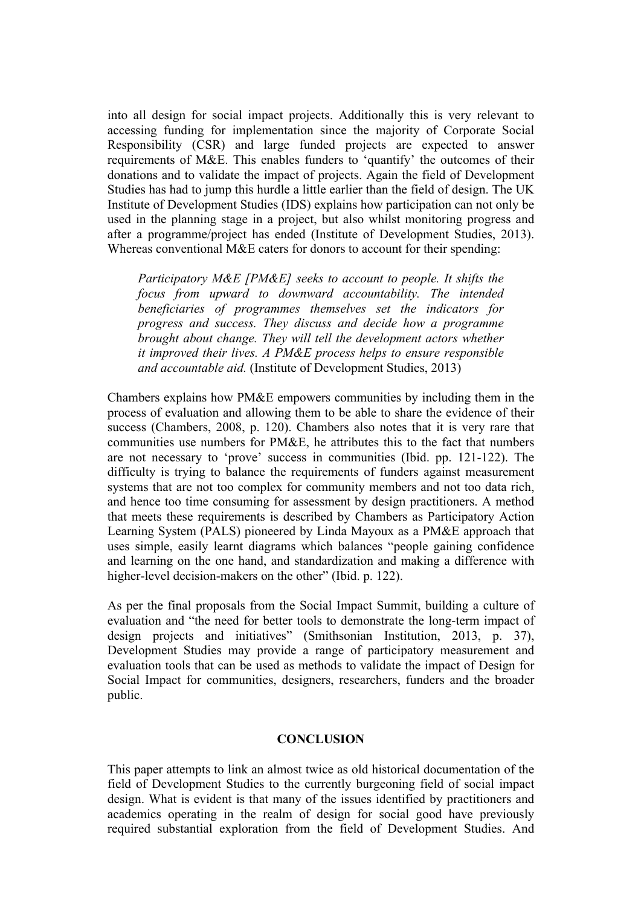into all design for social impact projects. Additionally this is very relevant to accessing funding for implementation since the majority of Corporate Social Responsibility (CSR) and large funded projects are expected to answer requirements of M&E. This enables funders to 'quantify' the outcomes of their donations and to validate the impact of projects. Again the field of Development Studies has had to jump this hurdle a little earlier than the field of design. The UK Institute of Development Studies (IDS) explains how participation can not only be used in the planning stage in a project, but also whilst monitoring progress and after a programme/project has ended (Institute of Development Studies, 2013). Whereas conventional M&E caters for donors to account for their spending:

*Participatory M&E [PM&E] seeks to account to people. It shifts the focus from upward to downward accountability. The intended beneficiaries of programmes themselves set the indicators for progress and success. They discuss and decide how a programme brought about change. They will tell the development actors whether it improved their lives. A PM&E process helps to ensure responsible and accountable aid.* (Institute of Development Studies, 2013)

Chambers explains how PM&E empowers communities by including them in the process of evaluation and allowing them to be able to share the evidence of their success (Chambers, 2008, p. 120). Chambers also notes that it is very rare that communities use numbers for PM&E, he attributes this to the fact that numbers are not necessary to 'prove' success in communities (Ibid. pp. 121-122). The difficulty is trying to balance the requirements of funders against measurement systems that are not too complex for community members and not too data rich, and hence too time consuming for assessment by design practitioners. A method that meets these requirements is described by Chambers as Participatory Action Learning System (PALS) pioneered by Linda Mayoux as a PM&E approach that uses simple, easily learnt diagrams which balances "people gaining confidence and learning on the one hand, and standardization and making a difference with higher-level decision-makers on the other" (Ibid. p. 122).

As per the final proposals from the Social Impact Summit, building a culture of evaluation and "the need for better tools to demonstrate the long-term impact of design projects and initiatives" (Smithsonian Institution, 2013, p. 37), Development Studies may provide a range of participatory measurement and evaluation tools that can be used as methods to validate the impact of Design for Social Impact for communities, designers, researchers, funders and the broader public.

# **CONCLUSION**

This paper attempts to link an almost twice as old historical documentation of the field of Development Studies to the currently burgeoning field of social impact design. What is evident is that many of the issues identified by practitioners and academics operating in the realm of design for social good have previously required substantial exploration from the field of Development Studies. And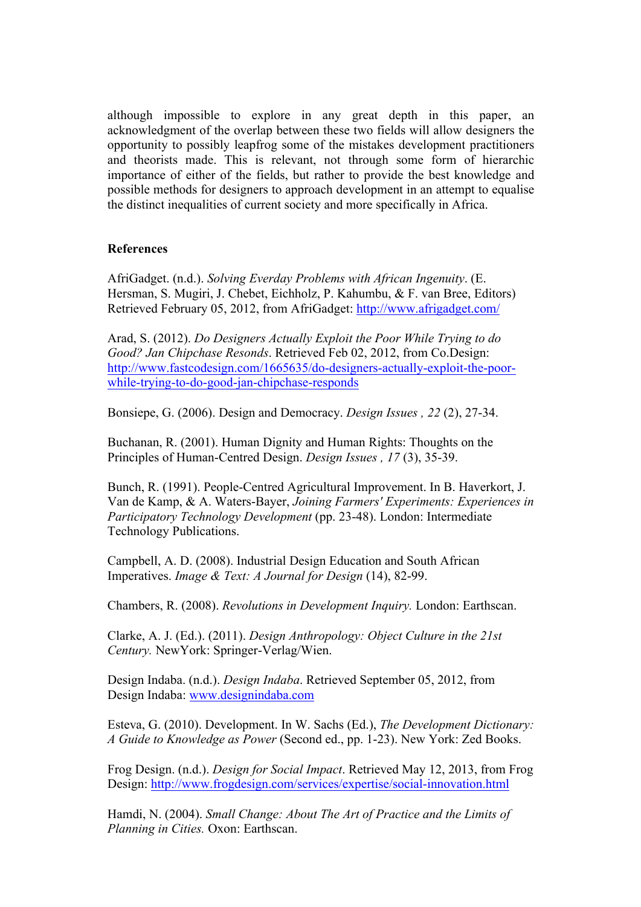although impossible to explore in any great depth in this paper, an acknowledgment of the overlap between these two fields will allow designers the opportunity to possibly leapfrog some of the mistakes development practitioners and theorists made. This is relevant, not through some form of hierarchic importance of either of the fields, but rather to provide the best knowledge and possible methods for designers to approach development in an attempt to equalise the distinct inequalities of current society and more specifically in Africa.

# **References**

AfriGadget. (n.d.). *Solving Everday Problems with African Ingenuity*. (E. Hersman, S. Mugiri, J. Chebet, Eichholz, P. Kahumbu, & F. van Bree, Editors) Retrieved February 05, 2012, from AfriGadget: http://www.afrigadget.com/

Arad, S. (2012). *Do Designers Actually Exploit the Poor While Trying to do Good? Jan Chipchase Resonds*. Retrieved Feb 02, 2012, from Co.Design: http://www.fastcodesign.com/1665635/do-designers-actually-exploit-the-poorwhile-trying-to-do-good-jan-chipchase-responds

Bonsiepe, G. (2006). Design and Democracy. *Design Issues , 22* (2), 27-34.

Buchanan, R. (2001). Human Dignity and Human Rights: Thoughts on the Principles of Human-Centred Design. *Design Issues , 17* (3), 35-39.

Bunch, R. (1991). People-Centred Agricultural Improvement. In B. Haverkort, J. Van de Kamp, & A. Waters-Bayer, *Joining Farmers' Experiments: Experiences in Participatory Technology Development* (pp. 23-48). London: Intermediate Technology Publications.

Campbell, A. D. (2008). Industrial Design Education and South African Imperatives. *Image & Text: A Journal for Design* (14), 82-99.

Chambers, R. (2008). *Revolutions in Development Inquiry.* London: Earthscan.

Clarke, A. J. (Ed.). (2011). *Design Anthropology: Object Culture in the 21st Century.* NewYork: Springer-Verlag/Wien.

Design Indaba. (n.d.). *Design Indaba*. Retrieved September 05, 2012, from Design Indaba: www.designindaba.com

Esteva, G. (2010). Development. In W. Sachs (Ed.), *The Development Dictionary: A Guide to Knowledge as Power* (Second ed., pp. 1-23). New York: Zed Books.

Frog Design. (n.d.). *Design for Social Impact*. Retrieved May 12, 2013, from Frog Design: http://www.frogdesign.com/services/expertise/social-innovation.html

Hamdi, N. (2004). *Small Change: About The Art of Practice and the Limits of Planning in Cities.* Oxon: Earthscan.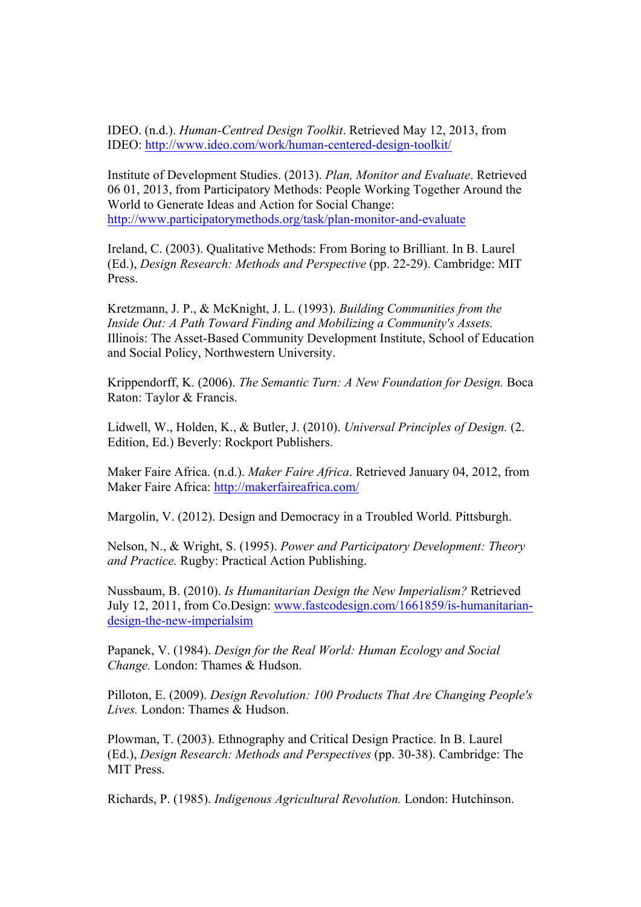IDEO. (n.d.). *Human-Centred Design Toolkit*. Retrieved May 12, 2013, from IDEO: http://www.ideo.com/work/human-centered-design-toolkit/

Institute of Development Studies. (2013). *Plan, Monitor and Evaluate*. Retrieved 06 01, 2013, from Participatory Methods: People Working Together Around the World to Generate Ideas and Action for Social Change: http://www.participatorymethods.org/task/plan-monitor-and-evaluate

Ireland, C. (2003). Qualitative Methods: From Boring to Brilliant. In B. Laurel (Ed.), *Design Research: Methods and Perspective* (pp. 22-29). Cambridge: MIT Press.

Kretzmann, J. P., & McKnight, J. L. (1993). *Building Communities from the Inside Out: A Path Toward Finding and Mobilizing a Community's Assets.* Illinois: The Asset-Based Community Development Institute, School of Education and Social Policy, Northwestern University.

Krippendorff, K. (2006). *The Semantic Turn: A New Foundation for Design.* Boca Raton: Taylor & Francis.

Lidwell, W., Holden, K., & Butler, J. (2010). *Universal Principles of Design.* (2. Edition, Ed.) Beverly: Rockport Publishers.

Maker Faire Africa. (n.d.). *Maker Faire Africa*. Retrieved January 04, 2012, from Maker Faire Africa: http://makerfaireafrica.com/

Margolin, V. (2012). Design and Democracy in a Troubled World. Pittsburgh.

Nelson, N., & Wright, S. (1995). *Power and Participatory Development: Theory and Practice.* Rugby: Practical Action Publishing.

Nussbaum, B. (2010). *Is Humanitarian Design the New Imperialism?* Retrieved July 12, 2011, from Co.Design: www.fastcodesign.com/1661859/is-humanitariandesign-the-new-imperialsim

Papanek, V. (1984). *Design for the Real World: Human Ecology and Social Change.* London: Thames & Hudson.

Pilloton, E. (2009). *Design Revolution: 100 Products That Are Changing People's Lives.* London: Thames & Hudson.

Plowman, T. (2003). Ethnography and Critical Design Practice. In B. Laurel (Ed.), *Design Research: Methods and Perspectives* (pp. 30-38). Cambridge: The MIT Press.

Richards, P. (1985). *Indigenous Agricultural Revolution.* London: Hutchinson.